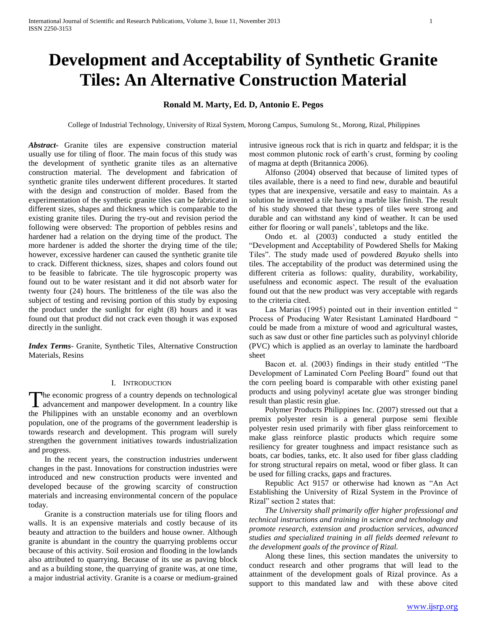# **Development and Acceptability of Synthetic Granite Tiles: An Alternative Construction Material**

## **Ronald M. Marty, Ed. D, Antonio E. Pegos**

College of Industrial Technology, University of Rizal System, Morong Campus, Sumulong St., Morong, Rizal, Philippines

*Abstract***-** Granite tiles are expensive construction material usually use for tiling of floor. The main focus of this study was the development of synthetic granite tiles as an alternative construction material. The development and fabrication of synthetic granite tiles underwent different procedures. It started with the design and construction of molder. Based from the experimentation of the synthetic granite tiles can be fabricated in different sizes, shapes and thickness which is comparable to the existing granite tiles. During the try-out and revision period the following were observed: The proportion of pebbles resins and hardener had a relation on the drying time of the product. The more hardener is added the shorter the drying time of the tile; however, excessive hardener can caused the synthetic granite tile to crack. Different thickness, sizes, shapes and colors found out to be feasible to fabricate. The tile hygroscopic property was found out to be water resistant and it did not absorb water for twenty four (24) hours. The brittleness of the tile was also the subject of testing and revising portion of this study by exposing the product under the sunlight for eight (8) hours and it was found out that product did not crack even though it was exposed directly in the sunlight.

*Index Terms*- Granite, Synthetic Tiles, Alternative Construction Materials, Resins

## I. INTRODUCTION

he economic progress of a country depends on technological The economic progress of a country depends on technological<br>advancement and manpower development. In a country like the Philippines with an unstable economy and an overblown population, one of the programs of the government leadership is towards research and development. This program will surely strengthen the government initiatives towards industrialization and progress.

 In the recent years, the construction industries underwent changes in the past. Innovations for construction industries were introduced and new construction products were invented and developed because of the growing scarcity of construction materials and increasing environmental concern of the populace today.

 Granite is a construction materials use for tiling floors and walls. It is an expensive materials and costly because of its beauty and attraction to the builders and house owner. Although granite is abundant in the country the quarrying problems occur because of this activity. Soil erosion and flooding in the lowlands also attributed to quarrying. Because of its use as paving block and as a building stone, the quarrying of granite was, at one time, a major industrial activity. Granite is a coarse or medium-grained intrusive igneous rock that is rich in quartz and feldspar; it is the most common plutonic rock of earth's crust, forming by cooling of magma at depth (Britannica 2006).

 Alfonso (2004) observed that because of limited types of tiles available, there is a need to find new, durable and beautiful types that are inexpensive, versatile and easy to maintain. As a solution he invented a tile having a marble like finish. The result of his study showed that these types of tiles were strong and durable and can withstand any kind of weather. It can be used either for flooring or wall panels', tabletops and the like.

 Ondo et. al (2003) conducted a study entitled the "Development and Acceptability of Powdered Shells for Making Tiles". The study made used of powdered *Bayuko* shells into tiles. The acceptability of the product was determined using the different criteria as follows: quality, durability, workability, usefulness and economic aspect. The result of the evaluation found out that the new product was very acceptable with regards to the criteria cited.

Las Marias (1995) pointed out in their invention entitled " Process of Producing Water Resistant Laminated Hardboard " could be made from a mixture of wood and agricultural wastes, such as saw dust or other fine particles such as polyvinyl chloride (PVC) which is applied as an overlay to laminate the hardboard sheet

 Bacon et. al. (2003) findings in their study entitled "The Development of Laminated Corn Peeling Board" found out that the corn peeling board is comparable with other existing panel products and using polyvinyl acetate glue was stronger binding result than plastic resin glue.

 Polymer Products Philippines Inc. (2007) stressed out that a premix polyester resin is a general purpose semi flexible polyester resin used primarily with fiber glass reinforcement to make glass reinforce plastic products which require some resiliency for greater toughness and impact resistance such as boats, car bodies, tanks, etc. It also used for fiber glass cladding for strong structural repairs on metal, wood or fiber glass. It can be used for filling cracks, gaps and fractures.

 Republic Act 9157 or otherwise had known as "An Act Establishing the University of Rizal System in the Province of Rizal" section 2 states that:

 *The University shall primarily offer higher professional and technical instructions and training in science and technology and promote research, extension and production services, advanced studies and specialized training in all fields deemed relevant to the development goals of the province of Rizal.*

 Along these lines, this section mandates the university to conduct research and other programs that will lead to the attainment of the development goals of Rizal province. As a support to this mandated law and with these above cited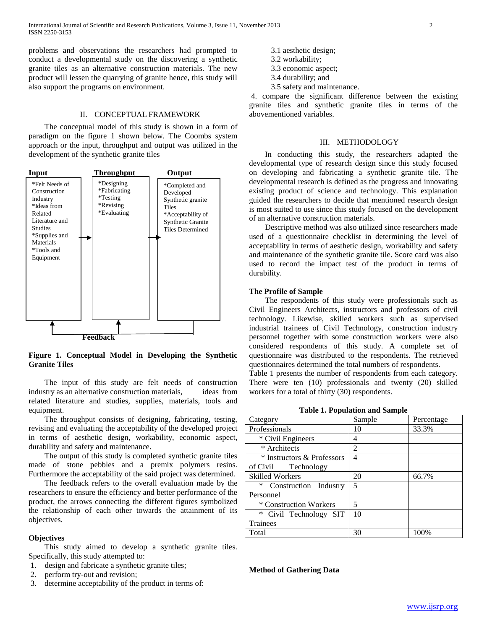problems and observations the researchers had prompted to conduct a developmental study on the discovering a synthetic granite tiles as an alternative construction materials. The new product will lessen the quarrying of granite hence, this study will also support the programs on environment.

#### II. CONCEPTUAL FRAMEWORK

 The conceptual model of this study is shown in a form of paradigm on the figure 1 shown below. The Coombs system approach or the input, throughput and output was utilized in the development of the synthetic granite tiles



## **Figure 1. Conceptual Model in Developing the Synthetic Granite Tiles**

 The input of this study are felt needs of construction industry as an alternative construction materials, ideas from related literature and studies, supplies, materials, tools and equipment.

 The throughput consists of designing, fabricating, testing, revising and evaluating the acceptability of the developed project in terms of aesthetic design, workability, economic aspect, durability and safety and maintenance.

 The output of this study is completed synthetic granite tiles made of stone pebbles and a premix polymers resins. Furthermore the acceptability of the said project was determined.

 The feedback refers to the overall evaluation made by the researchers to ensure the efficiency and better performance of the product, the arrows connecting the different figures symbolized the relationship of each other towards the attainment of its objectives.

#### **Objectives**

 This study aimed to develop a synthetic granite tiles. Specifically, this study attempted to:

- 1. design and fabricate a synthetic granite tiles;
- 2. perform try-out and revision;
- 3. determine acceptability of the product in terms of:
- 3.1 aesthetic design;
- 3.2 workability;
- 3.3 economic aspect;
- 3.4 durability; and
- 3.5 safety and maintenance.

4. compare the significant difference between the existing granite tiles and synthetic granite tiles in terms of the abovementioned variables.

#### III. METHODOLOGY

 In conducting this study, the researchers adapted the developmental type of research design since this study focused on developing and fabricating a synthetic granite tile. The developmental research is defined as the progress and innovating existing product of science and technology. This explanation guided the researchers to decide that mentioned research design is most suited to use since this study focused on the development of an alternative construction materials.

 Descriptive method was also utilized since researchers made used of a questionnaire checklist in determining the level of acceptability in terms of aesthetic design, workability and safety and maintenance of the synthetic granite tile. Score card was also used to record the impact test of the product in terms of durability.

#### **The Profile of Sample**

 The respondents of this study were professionals such as Civil Engineers Architects, instructors and professors of civil technology. Likewise, skilled workers such as supervised industrial trainees of Civil Technology, construction industry personnel together with some construction workers were also considered respondents of this study. A complete set of questionnaire was distributed to the respondents. The retrieved questionnaires determined the total numbers of respondents.

Table 1 presents the number of respondents from each category. There were ten (10) professionals and twenty (20) skilled workers for a total of thirty (30) respondents.

**Table 1. Population and Sample**

| Category                   | Sample                   | Percentage |  |  |
|----------------------------|--------------------------|------------|--|--|
| Professionals              | 10                       | 33.3%      |  |  |
| * Civil Engineers          | 4                        |            |  |  |
| * Architects               | 2                        |            |  |  |
| * Instructors & Professors | 4                        |            |  |  |
| of Civil<br>Technology     |                          |            |  |  |
| <b>Skilled Workers</b>     | 20<br>66.7%              |            |  |  |
| ∗<br>Construction Industry | 5                        |            |  |  |
| Personnel                  |                          |            |  |  |
| * Construction Workers     | $\overline{\mathcal{L}}$ |            |  |  |
| * Civil Technology SIT     | 10                       |            |  |  |
| <b>Trainees</b>            |                          |            |  |  |
| Total                      | 30                       | 100%       |  |  |

**Method of Gathering Data**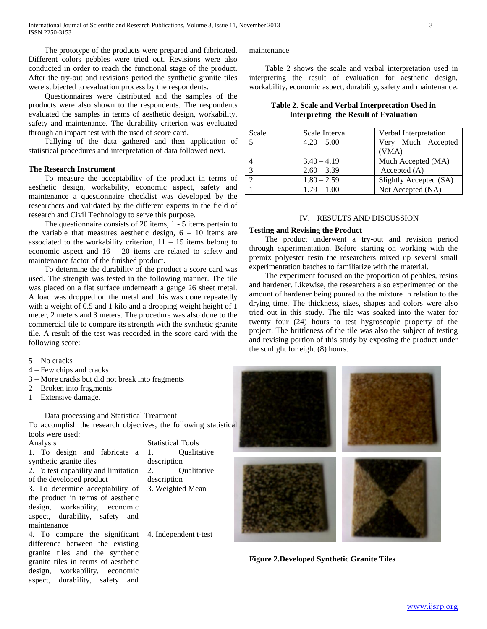The prototype of the products were prepared and fabricated. Different colors pebbles were tried out. Revisions were also conducted in order to reach the functional stage of the product. After the try-out and revisions period the synthetic granite tiles were subjected to evaluation process by the respondents.

 Questionnaires were distributed and the samples of the products were also shown to the respondents. The respondents evaluated the samples in terms of aesthetic design, workability, safety and maintenance. The durability criterion was evaluated through an impact test with the used of score card.

 Tallying of the data gathered and then application of statistical procedures and interpretation of data followed next.

#### **The Research Instrument**

 To measure the acceptability of the product in terms of aesthetic design, workability, economic aspect, safety and maintenance a questionnaire checklist was developed by the researchers and validated by the different experts in the field of research and Civil Technology to serve this purpose.

 The questionnaire consists of 20 items, 1 - 5 items pertain to the variable that measures aesthetic design,  $6 - 10$  items are associated to the workability criterion,  $11 - 15$  items belong to economic aspect and  $16 - 20$  items are related to safety and maintenance factor of the finished product.

 To determine the durability of the product a score card was used. The strength was tested in the following manner. The tile was placed on a flat surface underneath a gauge 26 sheet metal. A load was dropped on the metal and this was done repeatedly with a weight of 0.5 and 1 kilo and a dropping weight height of 1 meter, 2 meters and 3 meters. The procedure was also done to the commercial tile to compare its strength with the synthetic granite tile. A result of the test was recorded in the score card with the following score:

5 – No cracks

- 4 Few chips and cracks
- 3 More cracks but did not break into fragments
- 2 Broken into fragments
- 1 Extensive damage.

Data processing and Statistical Treatment

To accomplish the research objectives, the following statistical tools were used:

Analysis Statistical Tools 1. To design and fabricate a synthetic granite tiles 2. To test capability and limitation of the developed product 3. To determine acceptability of the product in terms of aesthetic design, workability, economic aspect, durability, safety and maintenance

4. To compare the significant difference between the existing granite tiles and the synthetic granite tiles in terms of aesthetic design, workability, economic aspect, durability, safety and

1. Qualitative description 2. Qualitative description 3. Weighted Mean

4. Independent t-test

maintenance

 Table 2 shows the scale and verbal interpretation used in interpreting the result of evaluation for aesthetic design, workability, economic aspect, durability, safety and maintenance.

**Table 2. Scale and Verbal Interpretation Used in Interpreting the Result of Evaluation**

| Scale          | Scale Interval | Verbal Interpretation  |
|----------------|----------------|------------------------|
|                | $4.20 - 5.00$  | Very Much Accepted     |
|                |                | (VMA)                  |
| $\overline{4}$ | $3.40 - 4.19$  | Much Accepted (MA)     |
| $\mathbf{c}$   | $2.60 - 3.39$  | Accepted (A)           |
|                | $1.80 - 2.59$  | Slightly Accepted (SA) |
|                | $1.79 - 1.00$  | Not Accepted (NA)      |

#### IV. RESULTS AND DISCUSSION

#### **Testing and Revising the Product**

 The product underwent a try-out and revision period through experimentation. Before starting on working with the premix polyester resin the researchers mixed up several small experimentation batches to familiarize with the material.

 The experiment focused on the proportion of pebbles, resins and hardener. Likewise, the researchers also experimented on the amount of hardener being poured to the mixture in relation to the drying time. The thickness, sizes, shapes and colors were also tried out in this study. The tile was soaked into the water for twenty four (24) hours to test hygroscopic property of the project. The brittleness of the tile was also the subject of testing and revising portion of this study by exposing the product under the sunlight for eight (8) hours.



**Figure 2.Developed Synthetic Granite Tiles**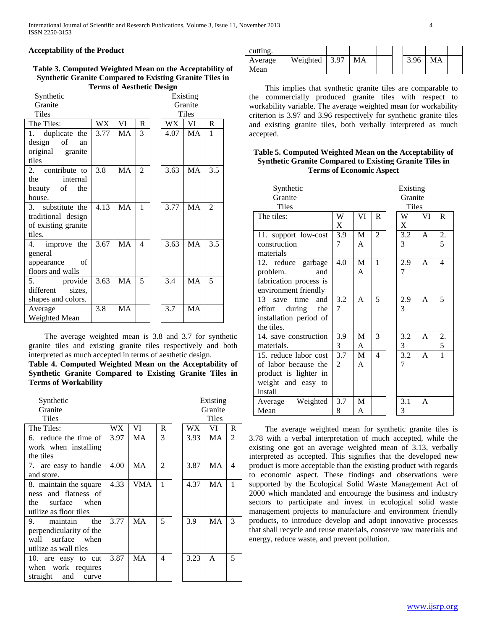## **Acceptability of the Product**

#### **Table 3. Computed Weighted Mean on the Acceptability of Synthetic Granite Compared to Existing Granite Tiles in Terms of Aesthetic Design**

| Synthetic           |           |           |                |  |      | Existing     |                |
|---------------------|-----------|-----------|----------------|--|------|--------------|----------------|
| Granite             | Granite   |           |                |  |      |              |                |
| <b>Tiles</b>        |           |           |                |  |      | <b>Tiles</b> |                |
| The Tiles:          | <b>WX</b> | VI        | $\mathsf{R}$   |  | WX.  | VI           | $\mathbf R$    |
| duplicate the<br>1. | 3.77      | MA        | 3              |  | 4.07 | <b>MA</b>    | $\mathbf{1}$   |
| design of<br>an     |           |           |                |  |      |              |                |
| original granite    |           |           |                |  |      |              |                |
| tiles               |           |           |                |  |      |              |                |
| 2. contribute to    | 3.8       | MA        | $\mathfrak{D}$ |  | 3.63 | <b>MA</b>    | 3.5            |
| the<br>internal     |           |           |                |  |      |              |                |
| beauty of the       |           |           |                |  |      |              |                |
| house.              |           |           |                |  |      |              |                |
| 3. substitute the   | 4.13      | MA        | 1              |  | 3.77 | MA           | $\mathfrak{D}$ |
| traditional design  |           |           |                |  |      |              |                |
| of existing granite |           |           |                |  |      |              |                |
| tiles.              |           |           |                |  |      |              |                |
| improve the<br>4.   | 3.67      | MA        | 4              |  | 3.63 | MA           | 3.5            |
| general             |           |           |                |  |      |              |                |
| appearance<br>of    |           |           |                |  |      |              |                |
| floors and walls    |           |           |                |  |      |              |                |
| 5. provide          | 3.63      | MA        | 5              |  | 3.4  | MA           | 5              |
| different<br>sizes, |           |           |                |  |      |              |                |
| shapes and colors.  |           |           |                |  |      |              |                |
| Average             | 3.8       | <b>MA</b> |                |  | 3.7  | MA           |                |
| Weighted Mean       |           |           |                |  |      |              |                |

 The average weighted mean is 3.8 and 3.7 for synthetic granite tiles and existing granite tiles respectively and both interpreted as much accepted in terms of aesthetic design.

## **Table 4. Computed Weighted Mean on the Acceptability of Synthetic Granite Compared to Existing Granite Tiles in Terms of Workability**

| Synthetic                |      |           |   |      | Existing  |                |
|--------------------------|------|-----------|---|------|-----------|----------------|
| Granite                  |      |           |   |      | Granite   |                |
| <b>Tiles</b>             |      |           |   |      | Tiles     |                |
| The Tiles:               | WX   | VI        | R | WX   | VI        | R              |
| 6. reduce the time of    | 3.97 | MA        | 3 | 3.93 | <b>MA</b> | $\overline{2}$ |
| work when installing     |      |           |   |      |           |                |
| the tiles                |      |           |   |      |           |                |
| 7. are easy to handle    | 4.00 | <b>MA</b> | 2 | 3.87 | <b>MA</b> | $\overline{4}$ |
| and store.               |      |           |   |      |           |                |
| 8. maintain the square   | 4.33 | VMA       | 1 | 4.37 | <b>MA</b> | $\mathbf{1}$   |
| ness and flatness of     |      |           |   |      |           |                |
| surface when<br>the      |      |           |   |      |           |                |
| utilize as floor tiles   |      |           |   |      |           |                |
| 9.<br>maintain<br>the    | 3.77 | <b>MA</b> | 5 | 3.9  | MA        | 3              |
| perpendicularity of the  |      |           |   |      |           |                |
| surface when<br>wall     |      |           |   |      |           |                |
| utilize as wall tiles    |      |           |   |      |           |                |
| 10. are easy to cut      | 3.87 | MA        | 4 | 3.23 | A         | 5              |
| when work requires       |      |           |   |      |           |                |
| straight<br>and<br>curve |      |           |   |      |           |                |
|                          |      |           |   |      |           |                |

| cutting. |                       |    |  |      |    |  |
|----------|-----------------------|----|--|------|----|--|
| Average  | Weighted $\vert$ 3.97 | MA |  | 3.96 | MA |  |
| Mean     |                       |    |  |      |    |  |

 This implies that synthetic granite tiles are comparable to the commercially produced granite tiles with respect to workability variable. The average weighted mean for workability criterion is 3.97 and 3.96 respectively for synthetic granite tiles and existing granite tiles, both verbally interpreted as much accepted.

## **Table 5. Computed Weighted Mean on the Acceptability of Synthetic Granite Compared to Existing Granite Tiles in Terms of Economic Aspect**

| Synthetic              |                |    |                          |  | Existing |              |                          |
|------------------------|----------------|----|--------------------------|--|----------|--------------|--------------------------|
| Granite                | Granite        |    |                          |  |          |              |                          |
| Tiles                  |                |    |                          |  | Tiles    |              |                          |
| The tiles:             | W              | VI | R                        |  | W        | VI           | R                        |
|                        | X              |    |                          |  | X        |              |                          |
| 11. support low-cost   | 3.9            | M  | $\overline{c}$           |  | 3.2      | $\mathsf{A}$ | 2.                       |
| construction           | 7              | A  |                          |  | 3        |              | 5                        |
| materials              |                |    |                          |  |          |              |                          |
| 12. reduce garbage     | 4.0            | M  | 1                        |  | 2.9      | $\mathsf{A}$ | $\overline{\mathcal{L}}$ |
| problem.<br>and        |                | A  |                          |  | 7        |              |                          |
| fabrication process is |                |    |                          |  |          |              |                          |
| environment friendly   |                |    |                          |  |          |              |                          |
| and<br>13 save time    | 3.2            | A  | 5                        |  | 2.9      | $\mathsf{A}$ | 5                        |
| during the<br>effort   | 7              |    |                          |  | 3        |              |                          |
| installation period of |                |    |                          |  |          |              |                          |
| the tiles.             |                |    |                          |  |          |              |                          |
| 14. save construction  | 3.9            | M  | 3                        |  | 3.2      | $\mathsf{A}$ | 2.                       |
| materials.             | 3              | A  |                          |  | 3        |              | 5                        |
| 15. reduce labor cost  | 3.7            | M  | $\overline{\mathcal{A}}$ |  | 3.2      | $\mathsf{A}$ | $\mathbf{1}$             |
| of labor because the   | $\mathfrak{D}$ | A  |                          |  | 7        |              |                          |
| product is lighter in  |                |    |                          |  |          |              |                          |
| weight and easy to     |                |    |                          |  |          |              |                          |
| install                |                |    |                          |  |          |              |                          |
| Weighted<br>Average    | 3.7            | M  |                          |  | 3.1      | A            |                          |
| Mean                   | 8              | A  |                          |  | 3        |              |                          |

 The average weighted mean for synthetic granite tiles is 3.78 with a verbal interpretation of much accepted, while the existing one got an average weighted mean of 3.13, verbally interpreted as accepted. This signifies that the developed new product is more acceptable than the existing product with regards to economic aspect. These findings and observations were supported by the Ecological Solid Waste Management Act of 2000 which mandated and encourage the business and industry sectors to participate and invest in ecological solid waste management projects to manufacture and environment friendly products, to introduce develop and adopt innovative processes that shall recycle and reuse materials, conserve raw materials and energy, reduce waste, and prevent pollution.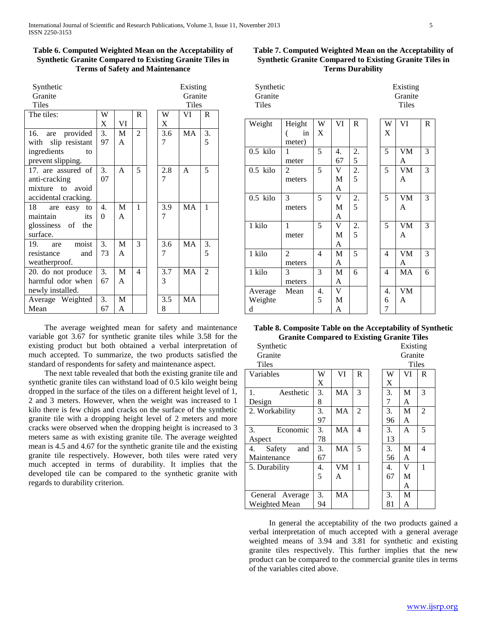## **Table 6. Computed Weighted Mean on the Acceptability of Synthetic Granite Compared to Existing Granite Tiles in Terms of Safety and Maintenance**

| Synthetic              |          |    |                |     | Existing     |                |
|------------------------|----------|----|----------------|-----|--------------|----------------|
| Granite                |          |    |                |     | Granite      |                |
| Tiles                  |          |    |                |     | Tiles        |                |
| The tiles:             | W        |    | R.             | W   | VI           | R              |
|                        | X        | VI |                | X   |              |                |
| 16. are provided       | 3.       | M  | $\overline{2}$ | 3.6 | <b>MA</b>    | 3.             |
| slip resistant<br>with | 97       | A  |                | 7   |              | 5              |
| ingredients<br>to      |          |    |                |     |              |                |
| prevent slipping.      |          |    |                |     |              |                |
| 17. are assured of     | 3.       | A  | 5              | 2.8 | $\mathsf{A}$ | 5              |
| anti-cracking          | 07       |    |                | 7   |              |                |
| mixture to avoid       |          |    |                |     |              |                |
| accidental cracking.   |          |    |                |     |              |                |
| 18<br>are easy to      | 4.       | M  | 1              | 3.9 | <b>MA</b>    | 1              |
| maintain<br>its        | $\theta$ | A  |                | 7   |              |                |
| glossiness of the      |          |    |                |     |              |                |
| surface.               |          |    |                |     |              |                |
| moist<br>$19.$ are     | 3.       | M  | 3              | 3.6 | MA           | 3.             |
| resistance<br>and      | 73       | A  |                | 7   |              | 5              |
| weatherproof.          |          |    |                |     |              |                |
| 20. do not produce     | 3.       | M  | 4              | 3.7 | <b>MA</b>    | $\overline{2}$ |
| harmful odor when      | 67       | A  |                | 3   |              |                |
| newly installed.       |          |    |                |     |              |                |
| Average Weighted       | 3.       | M  |                | 3.5 | MA           |                |
| Mean                   | 67       | A  |                | 8   |              |                |

 The average weighted mean for safety and maintenance variable got 3.67 for synthetic granite tiles while 3.58 for the existing product but both obtained a verbal interpretation of much accepted. To summarize, the two products satisfied the standard of respondents for safety and maintenance aspect.

 The next table revealed that both the existing granite tile and synthetic granite tiles can withstand load of 0.5 kilo weight being dropped in the surface of the tiles on a different height level of 1, 2 and 3 meters. However, when the weight was increased to 1 kilo there is few chips and cracks on the surface of the synthetic granite tile with a dropping height level of 2 meters and more cracks were observed when the dropping height is increased to 3 meters same as with existing granite tile. The average weighted mean is 4.5 and 4.67 for the synthetic granite tile and the existing granite tile respectively. However, both tiles were rated very much accepted in terms of durability. It implies that the developed tile can be compared to the synthetic granite with regards to durability criterion.

## **Table 7. Computed Weighted Mean on the Acceptability of Synthetic Granite Compared to Existing Granite Tiles in Terms Durability**

| Synthetic    | Existing |
|--------------|----------|
| Granite      | Granite  |
| <b>Tiles</b> | Tiles    |
|              |          |

| Weight     | Height         | W              | VI          | $\mathbb{R}$   | W  | VI        | $\mathbb{R}$ |
|------------|----------------|----------------|-------------|----------------|----|-----------|--------------|
|            | in             | X              |             |                | X  |           |              |
|            | meter)         |                |             |                |    |           |              |
| $0.5$ kilo | 1              | 5              | 4.          | 2.             | 5  | <b>VM</b> | 3            |
|            | meter          |                | 67          | 5              |    | A         |              |
| $0.5$ kilo | 2              | 5              | V           | 2.             | 5  | <b>VM</b> | 3            |
|            | meters         |                | M           | $\overline{5}$ |    | A         |              |
|            |                |                | A           |                |    |           |              |
| $0.5$ kilo | 3              | 5              | V           | $\frac{2}{5}$  | 5  | <b>VM</b> | 3            |
|            | meters         |                | M           |                |    | A         |              |
|            |                |                | A           |                |    |           |              |
| 1 kilo     | 1              | 5              | $\mathbf V$ | $\mathbf{2}$ . | 5  | VM        | 3            |
|            | meter          |                | M           | 5              |    | A         |              |
|            |                |                | A           |                |    |           |              |
| 1 kilo     | $\overline{2}$ | $\overline{4}$ | M           | $\overline{5}$ | 4  | VM        | 3            |
|            | meters         |                | A           |                |    | A         |              |
| 1 kilo     | 3              | 3              | M           | 6              | 4  | MA        | 6            |
|            | meters         |                | A           |                |    |           |              |
| Average    | Mean           | 4.             | V           |                | 4. | VM        |              |
| Weighte    |                | 5              | M           |                | 6  | A         |              |
| d          |                |                | A           |                | 7  |           |              |

## **Table 8. Composite Table on the Acceptability of Synthetic Granite Compared to Existing Granite Tiles**

| Synthetic           |    |    |                |    | Existing |                |
|---------------------|----|----|----------------|----|----------|----------------|
| Granite             |    |    |                |    | Granite  |                |
| Tiles               |    |    |                |    | Tiles    |                |
| Variables           | W  | VI | R              | W  | VI       | R              |
|                     | X  |    |                | X  |          |                |
| 1.<br>Aesthetic     | 3. | МA | 3              | 3. | M        | 3              |
| Design              | 8  |    |                | 7  | A        |                |
| 2. Workability      | 3. | MA | $\overline{2}$ | 3. | M        | $\overline{2}$ |
|                     | 97 |    |                | 96 | A        |                |
| Economic<br>3.      | 3. | MA | $\overline{4}$ | 3. | A        | 5              |
| Aspect              | 78 |    |                | 13 |          |                |
| 4.<br>Safety<br>and | 3. | MA | 5              | 3. | M        | 4              |
| Maintenance         | 67 |    |                | 56 | A        |                |
| 5. Durability       | 4. | VM | 1              | 4. | V        | 1              |
|                     | 5  | A  |                | 67 | М        |                |
|                     |    |    |                |    | A        |                |
| General Average     | 3. | MA |                | 3. | M        |                |
| Weighted Mean       | 94 |    |                | 81 | А        |                |

 In general the acceptability of the two products gained a verbal interpretation of much accepted with a general average weighted means of 3.94 and 3.81 for synthetic and existing granite tiles respectively. This further implies that the new product can be compared to the commercial granite tiles in terms of the variables cited above.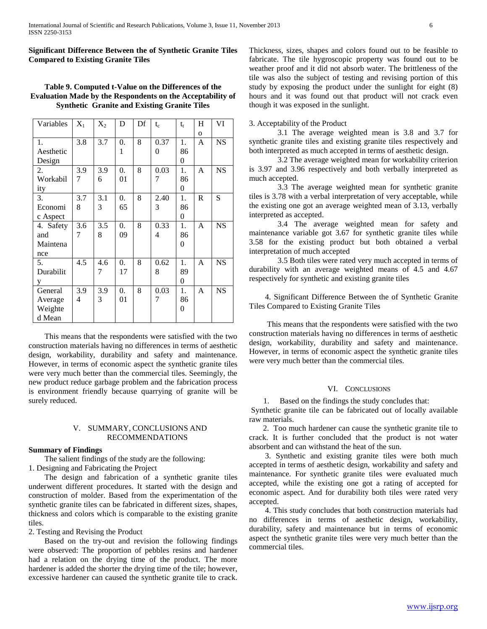**Significant Difference Between the of Synthetic Granite Tiles Compared to Existing Granite Tiles** 

## **Table 9. Computed t-Value on the Differences of the Evaluation Made by the Respondents on the Acceptability of Synthetic Granite and Existing Granite Tiles**

| Variables | $X_1$ | $X_2$ | D                | Df | $t_c$    | $t_{t}$        | H            | VI        |
|-----------|-------|-------|------------------|----|----------|----------------|--------------|-----------|
|           |       |       |                  |    |          |                | $\mathbf{o}$ |           |
| 1.        | 3.8   | 3.7   | 0.               | 8  | 0.37     | 1.             | A            | <b>NS</b> |
| Aesthetic |       |       | 1                |    | $\theta$ | 86             |              |           |
| Design    |       |       |                  |    |          | 0              |              |           |
| 2.        | 3.9   | 3.9   | $\overline{0}$ . | 8  | 0.03     | 1.             | A            | <b>NS</b> |
| Workabil  | 7     | 6     | 01               |    | 7        | 86             |              |           |
| ity       |       |       |                  |    |          | $\theta$       |              |           |
| 3.        | 3.7   | 3.1   | 0.               | 8  | 2.40     | 1.             | $\mathbb{R}$ | S         |
| Economi   | 8     | 3     | 65               |    | 3        | 86             |              |           |
| c Aspect  |       |       |                  |    |          | $\overline{0}$ |              |           |
| 4. Safety | 3.6   | 3.5   | $\overline{0}$ . | 8  | 0.33     | 1.             | A            | <b>NS</b> |
| and       | 7     | 8     | 09               |    | 4        | 86             |              |           |
| Maintena  |       |       |                  |    |          | 0              |              |           |
| nce       |       |       |                  |    |          |                |              |           |
| 5.        | 4.5   | 4.6   | $\overline{0}$ . | 8  | 0.62     | 1.             | A            | <b>NS</b> |
| Durabilit |       | 7     | 17               |    | 8        | 89             |              |           |
| у         |       |       |                  |    |          | 0              |              |           |
| General   | 3.9   | 3.9   | $\overline{0}$ . | 8  | 0.03     | 1.             | A            | <b>NS</b> |
| Average   | 4     | 3     | 01               |    | 7        | 86             |              |           |
| Weighte   |       |       |                  |    |          | 0              |              |           |
| d Mean    |       |       |                  |    |          |                |              |           |

 This means that the respondents were satisfied with the two construction materials having no differences in terms of aesthetic design, workability, durability and safety and maintenance. However, in terms of economic aspect the synthetic granite tiles were very much better than the commercial tiles. Seemingly, the new product reduce garbage problem and the fabrication process is environment friendly because quarrying of granite will be surely reduced.

#### V. SUMMARY, CONCLUSIONS AND RECOMMENDATIONS

#### **Summary of Findings**

The salient findings of the study are the following:

1. Designing and Fabricating the Project

 The design and fabrication of a synthetic granite tiles underwent different procedures. It started with the design and construction of molder. Based from the experimentation of the synthetic granite tiles can be fabricated in different sizes, shapes, thickness and colors which is comparable to the existing granite tiles.

## 2. Testing and Revising the Product

 Based on the try-out and revision the following findings were observed: The proportion of pebbles resins and hardener had a relation on the drying time of the product. The more hardener is added the shorter the drying time of the tile; however, excessive hardener can caused the synthetic granite tile to crack. Thickness, sizes, shapes and colors found out to be feasible to fabricate. The tile hygroscopic property was found out to be weather proof and it did not absorb water. The brittleness of the tile was also the subject of testing and revising portion of this study by exposing the product under the sunlight for eight (8) hours and it was found out that product will not crack even though it was exposed in the sunlight.

#### 3. Acceptability of the Product

3.1 The average weighted mean is 3.8 and 3.7 for synthetic granite tiles and existing granite tiles respectively and both interpreted as much accepted in terms of aesthetic design.

3.2 The average weighted mean for workability criterion is 3.97 and 3.96 respectively and both verbally interpreted as much accepted.

3.3 The average weighted mean for synthetic granite tiles is 3.78 with a verbal interpretation of very acceptable, while the existing one got an average weighted mean of 3.13, verbally interpreted as accepted.

3.4 The average weighted mean for safety and maintenance variable got 3.67 for synthetic granite tiles while 3.58 for the existing product but both obtained a verbal interpretation of much accepted

3.5 Both tiles were rated very much accepted in terms of durability with an average weighted means of 4.5 and 4.67 respectively for synthetic and existing granite tiles

 4. Significant Difference Between the of Synthetic Granite Tiles Compared to Existing Granite Tiles

 This means that the respondents were satisfied with the two construction materials having no differences in terms of aesthetic design, workability, durability and safety and maintenance. However, in terms of economic aspect the synthetic granite tiles were very much better than the commercial tiles.

### VI. CONCLUSIONS

1. Based on the findings the study concludes that:

Synthetic granite tile can be fabricated out of locally available raw materials.

 2. Too much hardener can cause the synthetic granite tile to crack. It is further concluded that the product is not water absorbent and can withstand the heat of the sun.

 3. Synthetic and existing granite tiles were both much accepted in terms of aesthetic design, workability and safety and maintenance. For synthetic granite tiles were evaluated much accepted, while the existing one got a rating of accepted for economic aspect. And for durability both tiles were rated very accepted.

 4. This study concludes that both construction materials had no differences in terms of aesthetic design, workability, durability, safety and maintenance but in terms of economic aspect the synthetic granite tiles were very much better than the commercial tiles.